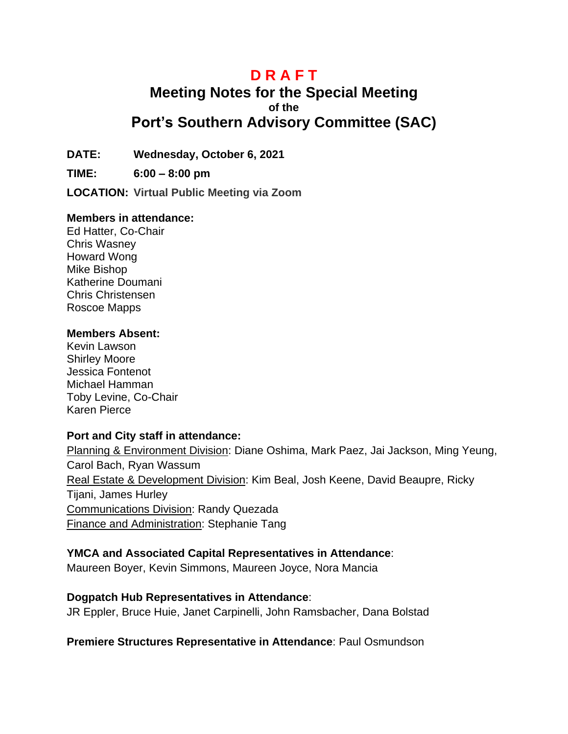# **D R A F T**

# **Meeting Notes for the Special Meeting of the Port's Southern Advisory Committee (SAC)**

**DATE: Wednesday, October 6, 2021**

**TIME: 6:00 – 8:00 pm**

**LOCATION: Virtual Public Meeting via Zoom**

#### **Members in attendance:**

Ed Hatter, Co-Chair Chris Wasney Howard Wong Mike Bishop Katherine Doumani Chris Christensen Roscoe Mapps

#### **Members Absent:**

Kevin Lawson Shirley Moore Jessica Fontenot Michael Hamman Toby Levine, Co-Chair Karen Pierce

#### **Port and City staff in attendance:**

Planning & Environment Division: Diane Oshima, Mark Paez, Jai Jackson, Ming Yeung, Carol Bach, Ryan Wassum Real Estate & Development Division: Kim Beal, Josh Keene, David Beaupre, Ricky Tijani, James Hurley Communications Division: Randy Quezada Finance and Administration: Stephanie Tang

#### **YMCA and Associated Capital Representatives in Attendance**:

Maureen Boyer, Kevin Simmons, Maureen Joyce, Nora Mancia

#### **Dogpatch Hub Representatives in Attendance**:

JR Eppler, Bruce Huie, Janet Carpinelli, John Ramsbacher, Dana Bolstad

**Premiere Structures Representative in Attendance**: Paul Osmundson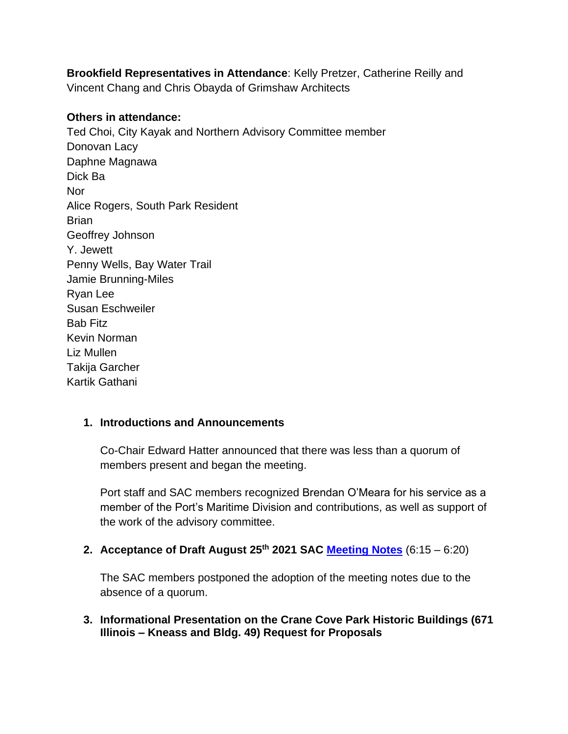**Brookfield Representatives in Attendance**: Kelly Pretzer, Catherine Reilly and Vincent Chang and Chris Obayda of Grimshaw Architects

#### **Others in attendance:**

Ted Choi, City Kayak and Northern Advisory Committee member Donovan Lacy Daphne Magnawa Dick Ba **Nor** Alice Rogers, South Park Resident **Brian** Geoffrey Johnson Y. Jewett Penny Wells, Bay Water Trail Jamie Brunning-Miles Ryan Lee Susan Eschweiler Bab Fitz Kevin Norman Liz Mullen Takija Garcher Kartik Gathani

#### **1. Introductions and Announcements**

Co-Chair Edward Hatter announced that there was less than a quorum of members present and began the meeting.

Port staff and SAC members recognized Brendan O'Meara for his service as a member of the Port's Maritime Division and contributions, as well as support of the work of the advisory committee.

**2. Acceptance of Draft August 25th 2021 SAC [Meeting Notes](file://///cifs-group/I/Portwide/Advisory%20Committees/SAC/Meetings/2021.10.06%20Meeting/Draft%208.25.21%20SAC%20Meeting%20Notes.pdf%20(sfport.com))** (6:15 – 6:20)

The SAC members postponed the adoption of the meeting notes due to the absence of a quorum.

**3. Informational Presentation on the Crane Cove Park Historic Buildings (671 Illinois – Kneass and Bldg. 49) Request for Proposals**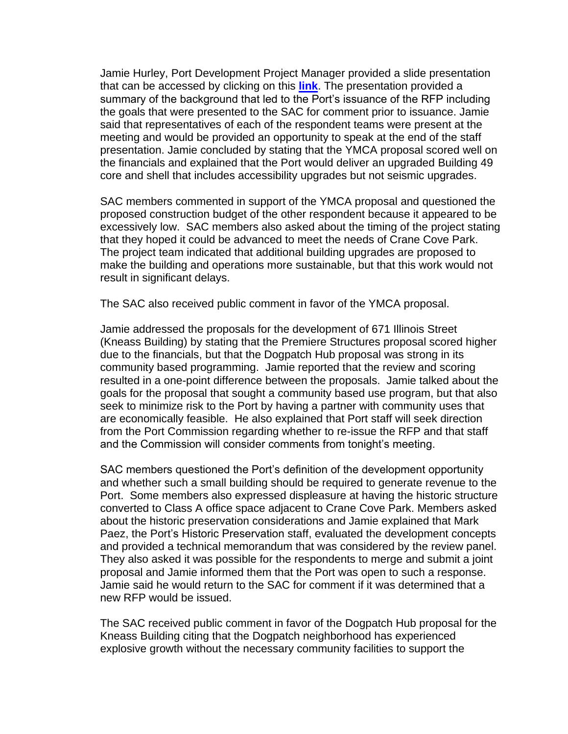Jamie Hurley, Port Development Project Manager provided a slide presentation that can be accessed by clicking on this **[link](Crane%20Cove%20Buildings%20RFP%20Results%20Presentation%20|%20SF%20Port)**. The presentation provided a summary of the background that led to the Port's issuance of the RFP including the goals that were presented to the SAC for comment prior to issuance. Jamie said that representatives of each of the respondent teams were present at the meeting and would be provided an opportunity to speak at the end of the staff presentation. Jamie concluded by stating that the YMCA proposal scored well on the financials and explained that the Port would deliver an upgraded Building 49 core and shell that includes accessibility upgrades but not seismic upgrades.

SAC members commented in support of the YMCA proposal and questioned the proposed construction budget of the other respondent because it appeared to be excessively low. SAC members also asked about the timing of the project stating that they hoped it could be advanced to meet the needs of Crane Cove Park. The project team indicated that additional building upgrades are proposed to make the building and operations more sustainable, but that this work would not result in significant delays.

The SAC also received public comment in favor of the YMCA proposal.

Jamie addressed the proposals for the development of 671 Illinois Street (Kneass Building) by stating that the Premiere Structures proposal scored higher due to the financials, but that the Dogpatch Hub proposal was strong in its community based programming. Jamie reported that the review and scoring resulted in a one-point difference between the proposals. Jamie talked about the goals for the proposal that sought a community based use program, but that also seek to minimize risk to the Port by having a partner with community uses that are economically feasible. He also explained that Port staff will seek direction from the Port Commission regarding whether to re-issue the RFP and that staff and the Commission will consider comments from tonight's meeting.

SAC members questioned the Port's definition of the development opportunity and whether such a small building should be required to generate revenue to the Port. Some members also expressed displeasure at having the historic structure converted to Class A office space adjacent to Crane Cove Park. Members asked about the historic preservation considerations and Jamie explained that Mark Paez, the Port's Historic Preservation staff, evaluated the development concepts and provided a technical memorandum that was considered by the review panel. They also asked it was possible for the respondents to merge and submit a joint proposal and Jamie informed them that the Port was open to such a response. Jamie said he would return to the SAC for comment if it was determined that a new RFP would be issued.

The SAC received public comment in favor of the Dogpatch Hub proposal for the Kneass Building citing that the Dogpatch neighborhood has experienced explosive growth without the necessary community facilities to support the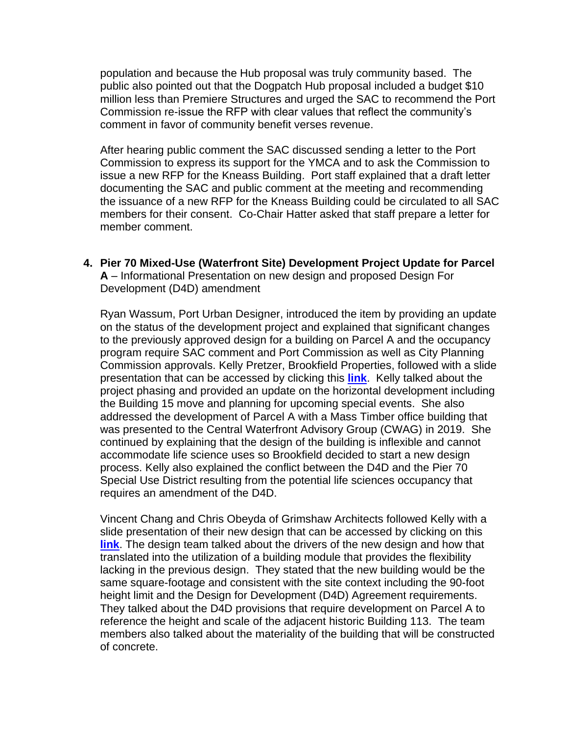population and because the Hub proposal was truly community based. The public also pointed out that the Dogpatch Hub proposal included a budget \$10 million less than Premiere Structures and urged the SAC to recommend the Port Commission re-issue the RFP with clear values that reflect the community's comment in favor of community benefit verses revenue.

After hearing public comment the SAC discussed sending a letter to the Port Commission to express its support for the YMCA and to ask the Commission to issue a new RFP for the Kneass Building. Port staff explained that a draft letter documenting the SAC and public comment at the meeting and recommending the issuance of a new RFP for the Kneass Building could be circulated to all SAC members for their consent. Co-Chair Hatter asked that staff prepare a letter for member comment.

**4. Pier 70 Mixed-Use (Waterfront Site) Development Project Update for Parcel A** – Informational Presentation on new design and proposed Design For Development (D4D) amendment

Ryan Wassum, Port Urban Designer, introduced the item by providing an update on the status of the development project and explained that significant changes to the previously approved design for a building on Parcel A and the occupancy program require SAC comment and Port Commission as well as City Planning Commission approvals. Kelly Pretzer, Brookfield Properties, followed with a slide presentation that can be accessed by clicking this **[link](Pier%2070%20Parcel%20A%20Redesign%20Presentation%20|%20SF%20Port)**. Kelly talked about the project phasing and provided an update on the horizontal development including the Building 15 move and planning for upcoming special events. She also addressed the development of Parcel A with a Mass Timber office building that was presented to the Central Waterfront Advisory Group (CWAG) in 2019. She continued by explaining that the design of the building is inflexible and cannot accommodate life science uses so Brookfield decided to start a new design process. Kelly also explained the conflict between the D4D and the Pier 70 Special Use District resulting from the potential life sciences occupancy that requires an amendment of the D4D.

Vincent Chang and Chris Obeyda of Grimshaw Architects followed Kelly with a slide presentation of their new design that can be accessed by clicking on this **[link](Brookfield%20Parcel%20A%20-%20SAC%20Presentation_10.6.21_1.pdf%20|%20SF%20Port)**. The design team talked about the drivers of the new design and how that translated into the utilization of a building module that provides the flexibility lacking in the previous design. They stated that the new building would be the same square-footage and consistent with the site context including the 90-foot height limit and the Design for Development (D4D) Agreement requirements. They talked about the D4D provisions that require development on Parcel A to reference the height and scale of the adjacent historic Building 113. The team members also talked about the materiality of the building that will be constructed of concrete.